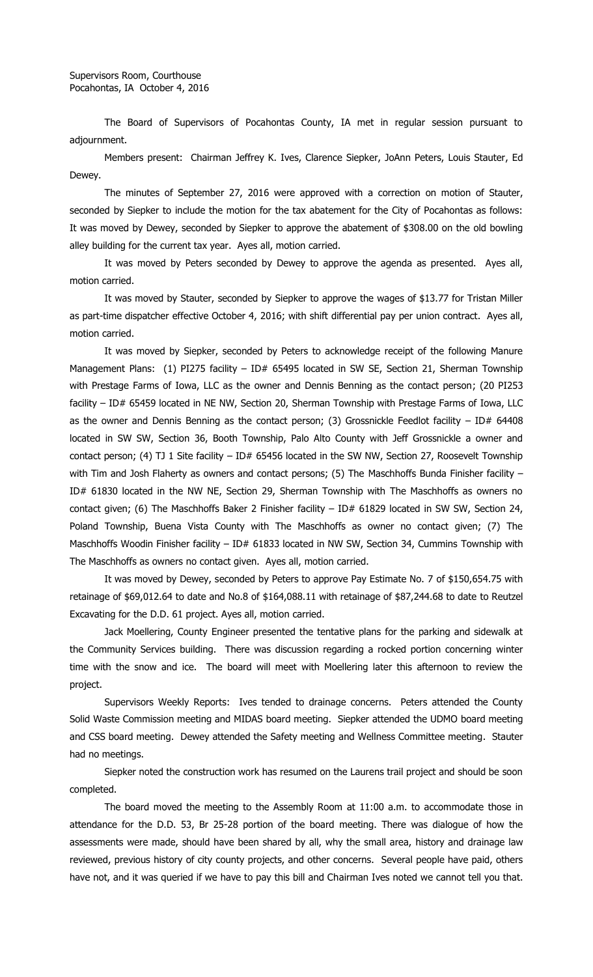The Board of Supervisors of Pocahontas County, IA met in regular session pursuant to adjournment.

Members present: Chairman Jeffrey K. Ives, Clarence Siepker, JoAnn Peters, Louis Stauter, Ed Dewey.

The minutes of September 27, 2016 were approved with a correction on motion of Stauter, seconded by Siepker to include the motion for the tax abatement for the City of Pocahontas as follows: It was moved by Dewey, seconded by Siepker to approve the abatement of \$308.00 on the old bowling alley building for the current tax year. Ayes all, motion carried.

It was moved by Peters seconded by Dewey to approve the agenda as presented. Ayes all, motion carried.

It was moved by Stauter, seconded by Siepker to approve the wages of \$13.77 for Tristan Miller as part-time dispatcher effective October 4, 2016; with shift differential pay per union contract. Ayes all, motion carried.

It was moved by Siepker, seconded by Peters to acknowledge receipt of the following Manure Management Plans: (1) PI275 facility - ID# 65495 located in SW SE, Section 21, Sherman Township with Prestage Farms of Iowa, LLC as the owner and Dennis Benning as the contact person; (20 PI253 facility – ID# 65459 located in NE NW, Section 20, Sherman Township with Prestage Farms of Iowa, LLC as the owner and Dennis Benning as the contact person; (3) Grossnickle Feedlot facility - ID# 64408 located in SW SW, Section 36, Booth Township, Palo Alto County with Jeff Grossnickle a owner and contact person; (4) TJ 1 Site facility - ID# 65456 located in the SW NW, Section 27, Roosevelt Township with Tim and Josh Flaherty as owners and contact persons; (5) The Maschhoffs Bunda Finisher facility -ID# 61830 located in the NW NE, Section 29, Sherman Township with The Maschhoffs as owners no contact given; (6) The Maschhoffs Baker 2 Finisher facility - ID# 61829 located in SW SW, Section 24, Poland Township, Buena Vista County with The Maschhoffs as owner no contact given; (7) The Maschhoffs Woodin Finisher facility - ID# 61833 located in NW SW, Section 34, Cummins Township with The Maschhoffs as owners no contact given. Ayes all, motion carried.

It was moved by Dewey, seconded by Peters to approve Pay Estimate No. 7 of \$150,654.75 with retainage of \$69,012.64 to date and No.8 of \$164,088.11 with retainage of \$87,244.68 to date to Reutzel Excavating for the D.D. 61 project. Ayes all, motion carried.

Jack Moellering, County Engineer presented the tentative plans for the parking and sidewalk at the Community Services building. There was discussion regarding a rocked portion concerning winter time with the snow and ice. The board will meet with Moellering later this afternoon to review the project.

Supervisors Weekly Reports: Ives tended to drainage concerns. Peters attended the County Solid Waste Commission meeting and MIDAS board meeting. Siepker attended the UDMO board meeting and CSS board meeting. Dewey attended the Safety meeting and Wellness Committee meeting. Stauter had no meetings.

Siepker noted the construction work has resumed on the Laurens trail project and should be soon completed.

The board moved the meeting to the Assembly Room at 11:00 a.m. to accommodate those in attendance for the D.D. 53, Br 25-28 portion of the board meeting. There was dialogue of how the assessments were made, should have been shared by all, why the small area, history and drainage law reviewed, previous history of city county projects, and other concerns. Several people have paid, others have not, and it was queried if we have to pay this bill and Chairman Ives noted we cannot tell you that.